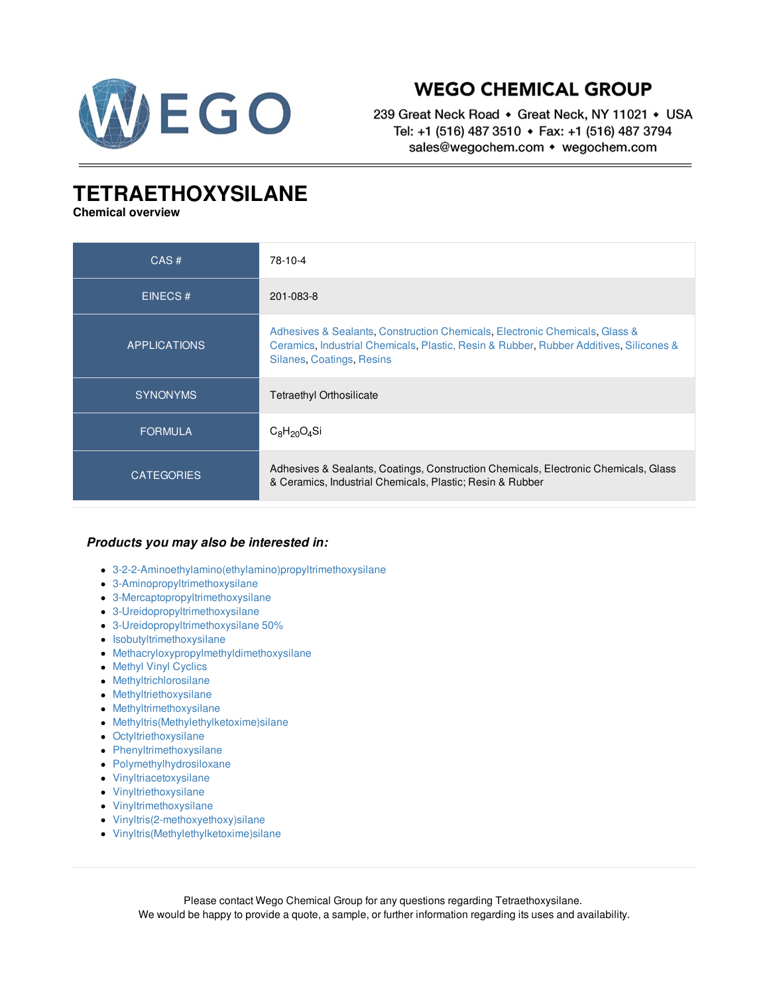

## **WEGO CHEMICAL GROUP**

239 Great Neck Road • Great Neck, NY 11021 • USA Tel: +1 (516) 487 3510 • Fax: +1 (516) 487 3794 sales@wegochem.com • wegochem.com

## **TETRAETHOXYSILANE**

**Chemical overview**

| CAS#                | 78-10-4                                                                                                                                                                                            |
|---------------------|----------------------------------------------------------------------------------------------------------------------------------------------------------------------------------------------------|
| EINECS#             | 201-083-8                                                                                                                                                                                          |
| <b>APPLICATIONS</b> | Adhesives & Sealants, Construction Chemicals, Electronic Chemicals, Glass &<br>Ceramics, Industrial Chemicals, Plastic, Resin & Rubber, Rubber Additives, Silicones &<br>Silanes, Coatings, Resins |
| <b>SYNONYMS</b>     | <b>Tetraethyl Orthosilicate</b>                                                                                                                                                                    |
| <b>FORMULA</b>      | $C_8H_{20}O_4Si$                                                                                                                                                                                   |
| <b>CATEGORIES</b>   | Adhesives & Sealants, Coatings, Construction Chemicals, Electronic Chemicals, Glass<br>& Ceramics, Industrial Chemicals, Plastic; Resin & Rubber                                                   |

## *Products you may also be interested in:*

- [3-2-2-Aminoethylamino\(ethylamino\)propyltrimethoxysilane](/supplier-distributor/3-2-2-aminoethylaminoethylaminopropyltrimethoxysilane/3224/78-10-4)
- [3-Aminopropyltrimethoxysilane](/supplier-distributor/3-aminopropyltrimethoxysilane/3223/78-10-4)
- [3-Mercaptopropyltrimethoxysilane](/supplier-distributor/3-mercaptopropyltrimethoxysilane/3236/78-10-4)
- [3-Ureidopropyltrimethoxysilane](/supplier-distributor/3-ureidopropyltrimethoxysilane/3129/78-10-4)
- [3-Ureidopropyltrimethoxysilane](/supplier-distributor/3-ureidopropyltrimethoxysilane-50/3130/78-10-4) 50%
- $\bullet$  [Isobutyltrimethoxysilane](/supplier-distributor/isobutyltrimethoxysilane/2543/78-10-4)
- [Methacryloxypropylmethyldimethoxysilane](/supplier-distributor/methacryloxypropylmethyldimethoxysilane/3219/78-10-4)
- Methyl Vinyl [Cyclics](/supplier-distributor/methyl-vinyl-cyclics/3241/78-10-4)
- [Methyltrichlorosilane](/supplier-distributor/methyltrichlorosilane/2593/78-10-4)
- [Methyltriethoxysilane](/supplier-distributor/methyltriethoxysilane/3221/78-10-4)
- **•** [Methyltrimethoxysilane](/supplier-distributor/methyltrimethoxysilane/3079/78-10-4)
- [Methyltris\(Methylethylketoxime\)silane](/supplier-distributor/methyltrismethylethylketoximesilane/3031/78-10-4)
- [Octyltriethoxysilane](/supplier-distributor/octyltriethoxysilane/3220/78-10-4)
- [Phenyltrimethoxysilane](/supplier-distributor/phenyltrimethoxysilane/3235/78-10-4)
- [Polymethylhydrosiloxane](/supplier-distributor/polymethylhydrosiloxane/3076/78-10-4)
- [Vinyltriacetoxysilane](/supplier-distributor/vinyltriacetoxysilane/2915/78-10-4)
- [Vinyltriethoxysilane](/supplier-distributor/vinyltriethoxysilane/3238/78-10-4)
- [Vinyltrimethoxysilane](/supplier-distributor/vinyltrimethoxysilane/3239/78-10-4)
- [Vinyltris\(2-methoxyethoxy\)silane](/supplier-distributor/vinyltris2-methoxyethoxysilane/3240/78-10-4)
- [Vinyltris\(Methylethylketoxime\)silane](/supplier-distributor/vinyltrismethylethylketoximesilane/3032/78-10-4)

Please contact Wego Chemical Group for any questions regarding Tetraethoxysilane. We would be happy to provide a quote, a sample, or further information regarding its uses and availability.